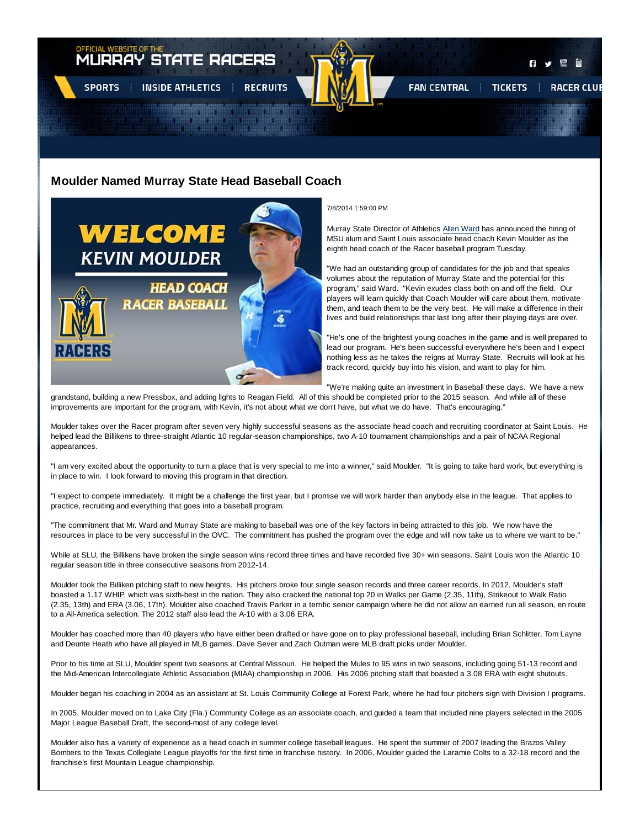

# **Moulder Named Murray State Head Baseball Coach**



7/8/2014 1:59:00 PM

Murray State Director of Athletics Allen Ward has announced the hiring of MSU alum and Saint Louis associate head coach Kevin Moulder as the eighth head coach of the Racer baseball program Tuesday.

"We had an outstanding group of candidates for the job and that speaks volumes about the reputation of Murray State and the potential for this program," said Ward. "Kevin exudes class both on and off the field. Our players will learn quickly that Coach Moulder will care about them, motivate them, and teach them to be the very best. He will make a difference in their lives and build relationships that last long after their playing days are over.

"He's one of the brightest young coaches in the game and is well prepared to lead our program. He's been successful everywhere he's been and I expect nothing less as he takes the reigns at Murray State. Recruits will look at his track record, quickly buy into his vision, and want to play for him.

"We're making quite an investment in Baseball these days. We have a new

grandstand, building a new Pressbox, and adding lights to Reagan Field. All of this should be completed prior to the 2015 season. And while all of these improvements are important for the program, with Kevin, it's not about what we don't have, but what we do have. That's encouraging."

Moulder takes over the Racer program after seven very highly successful seasons as the associate head coach and recruiting coordinator at Saint Louis. He helped lead the Billikens to three-straight Atlantic 10 regular-season championships, two A-10 tournament championships and a pair of NCAA Regional appearances.

"I am very excited about the opportunity to turn a place that is very special to me into a winner," said Moulder. "It is going to take hard work, but everything is in place to win. I look forward to moving this program in that direction.

"I expect to compete immediately. It might be a challenge the first year, but I promise we will work harder than anybody else in the league. That applies to practice, recruiting and everything that goes into a baseball program.

"The commitment that Mr. Ward and Murray State are making to baseball was one of the key factors in being attracted to this job. We now have the resources in place to be very successful in the OVC. The commitment has pushed the program over the edge and will now take us to where we want to be."

While at SLU, the Billikens have broken the single season wins record three times and have recorded five 30+ win seasons. Saint Louis won the Atlantic 10 regular season title in three consecutive seasons from 2012-14.

Moulder took the Billiken pitching staff to new heights. His pitchers broke four single season records and three career records. In 2012, Moulder's staff boasted a 1.17 WHIP, which was sixth-best in the nation. They also cracked the national top 20 in Walks per Game (2.35, 11th), Strikeout to Walk Ratio (2.35, 13th) and ERA (3.06, 17th). Moulder also coached Travis Parker in a terrific senior campaign where he did not allow an earned run all season, en route to a All-America selection. The 2012 staff also lead the A-10 with a 3.06 ERA.

Moulder has coached more than 40 players who have either been drafted or have gone on to play professional baseball, including Brian Schlitter, Tom Layne and Deunte Heath who have all played in MLB games. Dave Sever and Zach Outman were MLB draft picks under Moulder.

Prior to his time at SLU, Moulder spent two seasons at Central Missouri. He helped the Mules to 95 wins in two seasons, including going 51-13 record and the Mid-American Intercollegiate Athletic Association (MIAA) championship in 2006. His 2006 pitching staff that boasted a 3.08 ERA with eight shutouts.

Moulder began his coaching in 2004 as an assistant at St. Louis Community College at Forest Park, where he had four pitchers sign with Division I programs.

In 2005, Moulder moved on to Lake City (Fla.) Community College as an associate coach, and guided a team that included nine players selected in the 2005 Major League Baseball Draft, the second-most of any college level.

Moulder also has a variety of experience as a head coach in summer college baseball leagues. He spent the summer of 2007 leading the Brazos Valley Bombers to the Texas Collegiate League playoffs for the first time in franchise history. In 2006, Moulder guided the Laramie Colts to a 32-18 record and the franchise's first Mountain League championship.